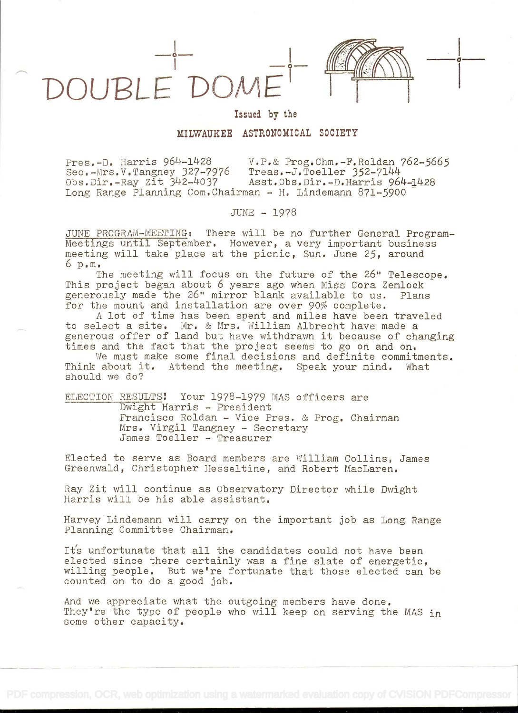

Issued by the

# MILWAUKEE ASTRONOMICAL SOCIETY

Pres.-D. Harris 964-J-428 V.P.& Prog.Chm..-F.Roldan 762-5665 Sec.-Mrs.V.Tangney 327-7976<br>Obs.Dir.-Ray Zit 342-4037 Asst.Obs.Dir.-D.Harris 964-1428 Long Range Planning Com.Chairman - H. Lindemann 871-5900

JUNE - 1978

JUNE PROGRAM-MEETING: There will be no further General Program-Meetings until September. However, a very important business meeting will take place at the picnic, Sun. June 25, around  $6 \text{ p.m.}$ 

The meeting will focus on the future of the 26" Telescope. This project began about 6 years ago when Miss Cora Zemlock generously made the 26" mirror blank available to us. Plans for the mount and installation are over 90% complete.

A lot of time has been spent and miles have been traveled to select a site. Mr, & Mrs. William Albrecht have made a generous offer of land but have withdrawn it because of changing times and the fact that the project seems to go on and on.

We must make some final decisions and definite commitments. Think about it. Attend the meeting. Speak your mind. What should we do?

ELECTION RESULTS! Your 1978-1979 MAS officers are Dwight Harris - President Francisco Roldan - Vice Pres. & Prog. Chairman Mrs. Virgil Tangney - Secretary James Toeller - Treasurer

Elected to serve as Board members are William Collins, James Greenwald, Christopher Hesseltine, and Robert MacLaren.

Ray Zit will continue as Observatory Director while Dwight Harris will be his able assistant.

Harvey Lindemann will carry on the important job as Long Range Planning Committee Chairman.

It's unfortunate that all the candidates could not have been elected since there certainly was a fine slate of energetic, willing people. But we're fortunate that those elected can be counted on to do a good job.

And we appreciate what the outgoing members have done. They're the type of people who will keep on serving the MAS in some other capacity.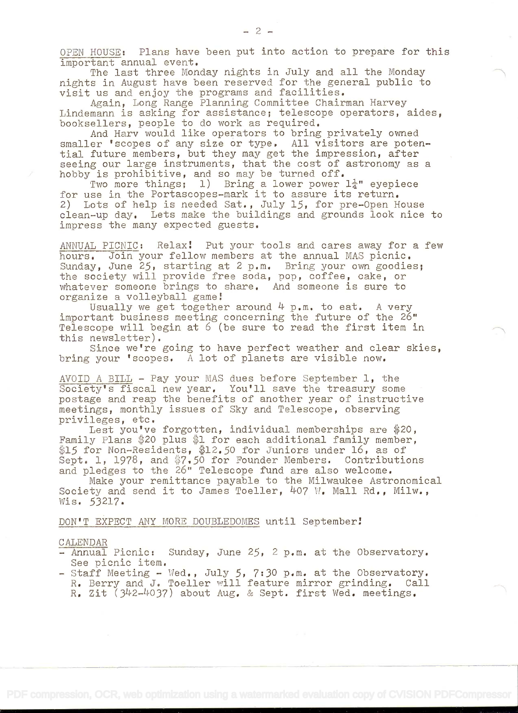OPEN HOUSE: Plans have been put into action to prepare for this important annual event.

The last three Monday nights in July and all the Monday nights in August have been reserved for the general public to visit us and enjoy the programs and facilities.

Again, Long Range Planning Committee Chairman Harvey Lindemann is asking for assistance; telescope operators, aides, booksellers, people to do work as required.

And Harv would like operators to bring privately owned smaller 'scopes of any size or type. All visitors are potential future members, but they may get the impression, after seeing our large instruments, that the cost of astronomy as a hobby is prohibitive, and so may be turned off.

Two more things; l) Bring a lower power  $1\frac{1}{4}$ " eyepiece for use in the Portascopes-mark it to assure its return. 2) Lots of help is needed Sat., July 15, for pre-Open House clean-up day. Lets make the buildings and grounds look nice to impress the many expected guests.

ANNUAL PICNIC: Relax: Put your tools and cares away for a few hours. Join your fellow members at the annual MAS picnic. Sunday, June 25, starting at 2 p.m. Bring your own goodies; the society will provide free soda, pop, coffee, cake, or whatever someone brings to share. And someone is sure to organize a volleyball game!

Usually we get together around  $4$  p.m. to eat. A very important business meeting concerning the future of the 26" Telescope will begin at 6 (be sure to read the first item in this newsletter).

Since we're going to have perfect weather and clear skies, bring your 'scopes. A lot of planets are visible now.

AVOID A BILL - Pay your MAS dues before September  $l$ , the Society's fiscal new year. You'll save the treasury some postage and reap the benefits of another year of instructive meetings, monthly issues of Sky and Telescope, observing privileges, etc,

Lest you've forgotten, individual memberships are \$20, Family Plans \$20 plus \$1 for each additional family member, \$15 for Non-Residents, \$12.50 for Juniors under 16, as of Sept. 1, 1978, and \$7.50 for Founder Members. Contributions and pledges to the 26" Telescope fund are also welcome.

Make your remittance payable to the Milwaukee Astronomical Society and send it to James Toeller, 407 W. Mall Rd., Milw., Wis. 53217.

DON'T EXPECT ANY MORE DOUBLEDOMES until September

#### CALENDAR

- Annual Picnic: Sunday, June 25, 2 p.m. at the Observatory. See picnic item.
- $-$  Staff Meeting  $-$  Wed., July 5, 7:30 p.m. at the Observatory. R. Berry and J. Toeller will feature mirror grinding. Call R. Zit (342-4037) about Aug. & Sept. first Wed. meetings.